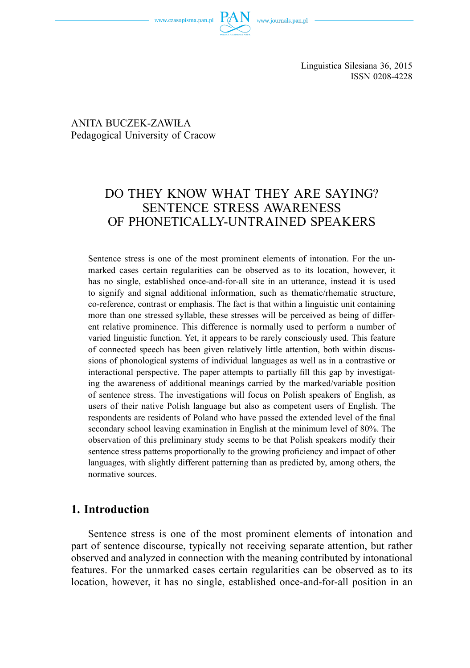ANITA BUCZEK-ZAWIŁA Pedagogical University of Cracow

# DO THEY KNOW WHAT THEY ARE SAYING? SENTENCE STRESS AWARENESS OF PHONETICALLY-UNTRAINED SPEAKERS

Sentence stress is one of the most prominent elements of intonation. For the unmarked cases certain regularities can be observed as to its location, however, it has no single, established once-and-for-all site in an utterance, instead it is used to signify and signal additional information, such as thematic/rhematic structure, co-reference, contrast or emphasis. The fact is that within a linguistic unit containing more than one stressed syllable, these stresses will be perceived as being of different relative prominence. This difference is normally used to perform a number of varied linguistic function. Yet, it appears to be rarely consciously used. This feature of connected speech has been given relatively little attention, both within discussions of phonological systems of individual languages as well as in a contrastive or interactional perspective. The paper attempts to partially fill this gap by investigating the awareness of additional meanings carried by the marked/variable position of sentence stress. The investigations will focus on Polish speakers of English, as users of their native Polish language but also as competent users of English. The respondents are residents of Poland who have passed the extended level of the final secondary school leaving examination in English at the minimum level of 80%. The observation of this preliminary study seems to be that Polish speakers modify their sentence stress patterns proportionally to the growing proficiency and impact of other languages, with slightly different patterning than as predicted by, among others, the normative sources.

# **1. Introduction**

Sentence stress is one of the most prominent elements of intonation and part of sentence discourse, typically not receiving separate attention, but rather observed and analyzed in connection with the meaning contributed by intonational features. For the unmarked cases certain regularities can be observed as to its location, however, it has no single, established once-and-for-all position in an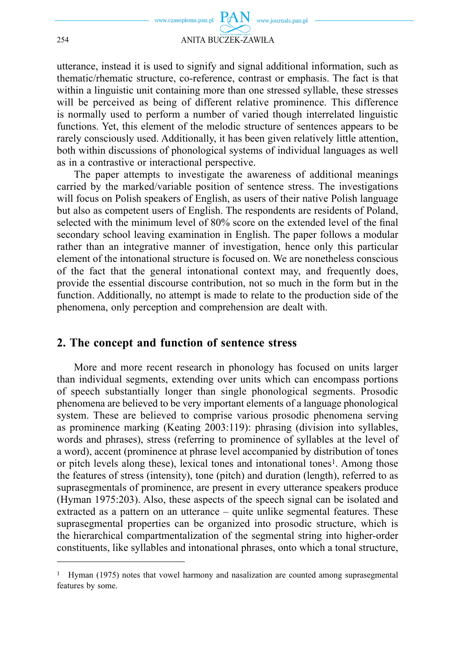

utterance, instead it is used to signify and signal additional information, such as thematic/rhematic structure, co-reference, contrast or emphasis. The fact is that within a linguistic unit containing more than one stressed syllable, these stresses will be perceived as being of different relative prominence. This difference is normally used to perform a number of varied though interrelated linguistic functions. Yet, this element of the melodic structure of sentences appears to be rarely consciously used. Additionally, it has been given relatively little attention, both within discussions of phonological systems of individual languages as well as in a contrastive or interactional perspective.

The paper attempts to investigate the awareness of additional meanings carried by the marked/variable position of sentence stress. The investigations will focus on Polish speakers of English, as users of their native Polish language but also as competent users of English. The respondents are residents of Poland, selected with the minimum level of 80% score on the extended level of the final secondary school leaving examination in English. The paper follows a modular rather than an integrative manner of investigation, hence only this particular element of the intonational structure is focused on. We are nonetheless conscious of the fact that the general intonational context may, and frequently does, provide the essential discourse contribution, not so much in the form but in the function. Additionally, no attempt is made to relate to the production side of the phenomena, only perception and comprehension are dealt with.

### **2. The concept and function of sentence stress**

More and more recent research in phonology has focused on units larger than individual segments, extending over units which can encompass portions of speech substantially longer than single phonological segments. Prosodic phenomena are believed to be very important elements of a language phonological system. These are believed to comprise various prosodic phenomena serving as prominence marking (Keating 2003:119): phrasing (division into syllables, words and phrases), stress (referring to prominence of syllables at the level of a word), accent (prominence at phrase level accompanied by distribution of tones or pitch levels along these), lexical tones and intonational tones<sup>1</sup>. Among those the features of stress (intensity), tone (pitch) and duration (length), referred to as suprasegmentals of prominence, are present in every utterance speakers produce (Hyman 1975:203). Also, these aspects of the speech signal can be isolated and extracted as a pattern on an utterance – quite unlike segmental features. These suprasegmental properties can be organized into prosodic structure, which is the hierarchical compartmentalization of the segmental string into higher-order constituents, like syllables and intonational phrases, onto which a tonal structure,

<sup>1</sup> Hyman (1975) notes that vowel harmony and nasalization are counted among suprasegmental features by some.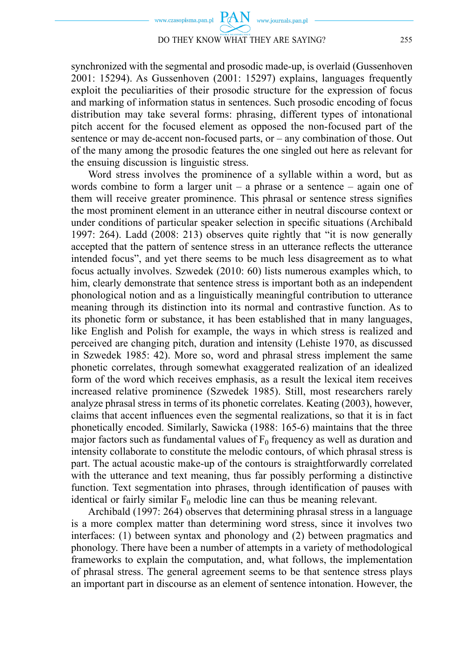

synchronized with the segmental and prosodic made-up, is overlaid (Gussenhoven 2001: 15294). As Gussenhoven (2001: 15297) explains, languages frequently exploit the peculiarities of their prosodic structure for the expression of focus and marking of information status in sentences. Such prosodic encoding of focus distribution may take several forms: phrasing, different types of intonational pitch accent for the focused element as opposed the non-focused part of the sentence or may de-accent non-focused parts, or – any combination of those. Out of the many among the prosodic features the one singled out here as relevant for the ensuing discussion is linguistic stress.

Word stress involves the prominence of a syllable within a word, but as words combine to form a larger unit – a phrase or a sentence – again one of them will receive greater prominence. This phrasal or sentence stress signifies the most prominent element in an utterance either in neutral discourse context or under conditions of particular speaker selection in specific situations (Archibald 1997: 264). Ladd (2008: 213) observes quite rightly that "it is now generally accepted that the pattern of sentence stress in an utterance reflects the utterance intended focus", and yet there seems to be much less disagreement as to what focus actually involves. Szwedek (2010: 60) lists numerous examples which, to him, clearly demonstrate that sentence stress is important both as an independent phonological notion and as a linguistically meaningful contribution to utterance meaning through its distinction into its normal and contrastive function. As to its phonetic form or substance, it has been established that in many languages, like English and Polish for example, the ways in which stress is realized and perceived are changing pitch, duration and intensity (Lehiste 1970, as discussed in Szwedek 1985: 42). More so, word and phrasal stress implement the same phonetic correlates, through somewhat exaggerated realization of an idealized form of the word which receives emphasis, as a result the lexical item receives increased relative prominence (Szwedek 1985). Still, most researchers rarely analyze phrasal stress in terms of its phonetic correlates. Keating (2003), however, claims that accent influences even the segmental realizations, so that it is in fact phonetically encoded. Similarly, Sawicka (1988: 165-6) maintains that the three major factors such as fundamental values of  $F_0$  frequency as well as duration and intensity collaborate to constitute the melodic contours, of which phrasal stress is part. The actual acoustic make-up of the contours is straightforwardly correlated with the utterance and text meaning, thus far possibly performing a distinctive function. Text segmentation into phrases, through identification of pauses with identical or fairly similar  $F_0$  melodic line can thus be meaning relevant.

Archibald (1997: 264) observes that determining phrasal stress in a language is a more complex matter than determining word stress, since it involves two interfaces: (1) between syntax and phonology and (2) between pragmatics and phonology. There have been a number of attempts in a variety of methodological frameworks to explain the computation, and, what follows, the implementation of phrasal stress. The general agreement seems to be that sentence stress plays an important part in discourse as an element of sentence intonation. However, the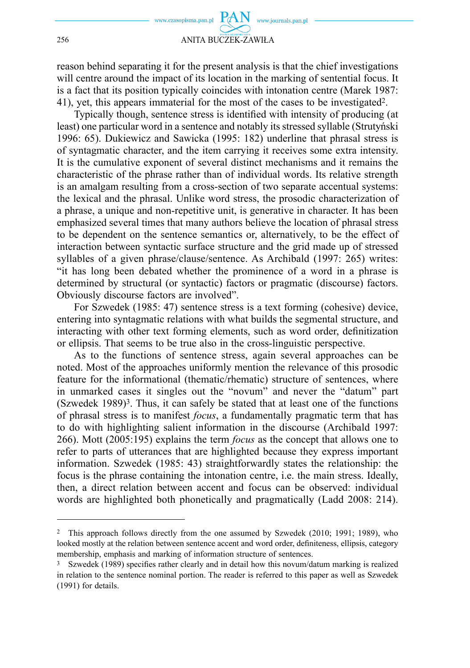

reason behind separating it for the present analysis is that the chief investigations will centre around the impact of its location in the marking of sentential focus. It is a fact that its position typically coincides with intonation centre (Marek 1987: 41), yet, this appears immaterial for the most of the cases to be investigated2.

Typically though, sentence stress is identified with intensity of producing (at least) one particular word in a sentence and notably its stressed syllable (Strutyński 1996: 65). Dukiewicz and Sawicka (1995: 182) underline that phrasal stress is of syntagmatic character, and the item carrying it receives some extra intensity. It is the cumulative exponent of several distinct mechanisms and it remains the characteristic of the phrase rather than of individual words. Its relative strength is an amalgam resulting from a cross-section of two separate accentual systems: the lexical and the phrasal. Unlike word stress, the prosodic characterization of a phrase, a unique and non-repetitive unit, is generative in character. It has been emphasized several times that many authors believe the location of phrasal stress to be dependent on the sentence semantics or, alternatively, to be the effect of interaction between syntactic surface structure and the grid made up of stressed syllables of a given phrase/clause/sentence. As Archibald (1997: 265) writes: "it has long been debated whether the prominence of a word in a phrase is determined by structural (or syntactic) factors or pragmatic (discourse) factors. Obviously discourse factors are involved".

For Szwedek (1985: 47) sentence stress is a text forming (cohesive) device, entering into syntagmatic relations with what builds the segmental structure, and interacting with other text forming elements, such as word order, definitization or ellipsis. That seems to be true also in the cross-linguistic perspective.

As to the functions of sentence stress, again several approaches can be noted. Most of the approaches uniformly mention the relevance of this prosodic feature for the informational (thematic/rhematic) structure of sentences, where in unmarked cases it singles out the "novum" and never the "datum" part  $(Szwedek 1989)<sup>3</sup>$ . Thus, it can safely be stated that at least one of the functions of phrasal stress is to manifest *focus*, a fundamentally pragmatic term that has to do with highlighting salient information in the discourse (Archibald 1997: 266). Mott (2005:195) explains the term *focus* as the concept that allows one to refer to parts of utterances that are highlighted because they express important information. Szwedek (1985: 43) straightforwardly states the relationship: the focus is the phrase containing the intonation centre, i.e. the main stress. Ideally, then, a direct relation between accent and focus can be observed: individual words are highlighted both phonetically and pragmatically (Ladd 2008: 214).

<sup>2</sup> This approach follows directly from the one assumed by Szwedek (2010; 1991; 1989), who looked mostly at the relation between sentence accent and word order, definiteness, ellipsis, category membership, emphasis and marking of information structure of sentences.

<sup>&</sup>lt;sup>3</sup> Szwedek (1989) specifies rather clearly and in detail how this novum/datum marking is realized in relation to the sentence nominal portion. The reader is referred to this paper as well as Szwedek (1991) for details.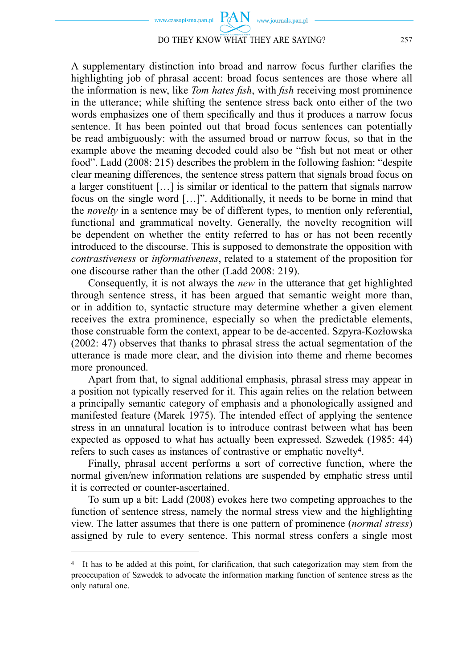

A supplementary distinction into broad and narrow focus further clarifies the highlighting job of phrasal accent: broad focus sentences are those where all the information is new, like *Tom hates fish*, with *fish* receiving most prominence in the utterance; while shifting the sentence stress back onto either of the two words emphasizes one of them specifically and thus it produces a narrow focus sentence. It has been pointed out that broad focus sentences can potentially be read ambiguously: with the assumed broad or narrow focus, so that in the example above the meaning decoded could also be "fish but not meat or other food". Ladd (2008: 215) describes the problem in the following fashion: "despite clear meaning differences, the sentence stress pattern that signals broad focus on a larger constituent […] is similar or identical to the pattern that signals narrow focus on the single word […]". Additionally, it needs to be borne in mind that the *novelty* in a sentence may be of different types, to mention only referential, functional and grammatical novelty. Generally, the novelty recognition will be dependent on whether the entity referred to has or has not been recently introduced to the discourse. This is supposed to demonstrate the opposition with *contrastiveness* or *informativeness*, related to a statement of the proposition for one discourse rather than the other (Ladd 2008: 219).

Consequently, it is not always the *new* in the utterance that get highlighted through sentence stress, it has been argued that semantic weight more than, or in addition to, syntactic structure may determine whether a given element receives the extra prominence, especially so when the predictable elements, those construable form the context, appear to be de-accented. Szpyra-Kozłowska (2002: 47) observes that thanks to phrasal stress the actual segmentation of the utterance is made more clear, and the division into theme and rheme becomes more pronounced.

Apart from that, to signal additional emphasis, phrasal stress may appear in a position not typically reserved for it. This again relies on the relation between a principally semantic category of emphasis and a phonologically assigned and manifested feature (Marek 1975). The intended effect of applying the sentence stress in an unnatural location is to introduce contrast between what has been expected as opposed to what has actually been expressed. Szwedek (1985: 44) refers to such cases as instances of contrastive or emphatic novelty4.

Finally, phrasal accent performs a sort of corrective function, where the normal given/new information relations are suspended by emphatic stress until it is corrected or counter-ascertained.

To sum up a bit: Ladd (2008) evokes here two competing approaches to the function of sentence stress, namely the normal stress view and the highlighting view. The latter assumes that there is one pattern of prominence (*normal stress*) assigned by rule to every sentence. This normal stress confers a single most

<sup>&</sup>lt;sup>4</sup> It has to be added at this point, for clarification, that such categorization may stem from the preoccupation of Szwedek to advocate the information marking function of sentence stress as the only natural one.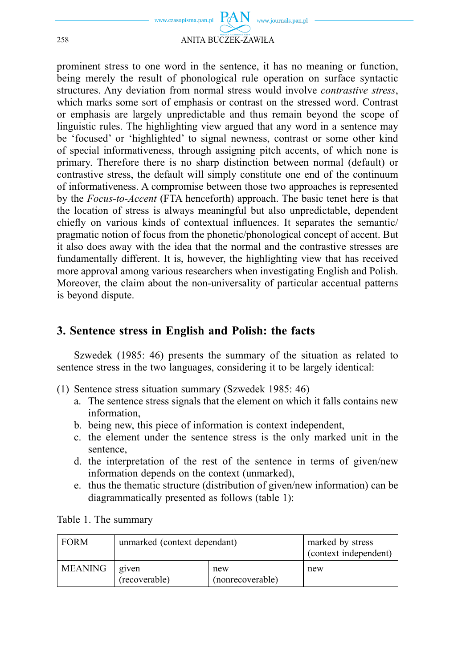

prominent stress to one word in the sentence, it has no meaning or function, being merely the result of phonological rule operation on surface syntactic structures. Any deviation from normal stress would involve *contrastive stress*, which marks some sort of emphasis or contrast on the stressed word. Contrast or emphasis are largely unpredictable and thus remain beyond the scope of linguistic rules. The highlighting view argued that any word in a sentence may be 'focused' or 'highlighted' to signal newness, contrast or some other kind of special informativeness, through assigning pitch accents, of which none is primary. Therefore there is no sharp distinction between normal (default) or contrastive stress, the default will simply constitute one end of the continuum of informativeness. A compromise between those two approaches is represented by the *Focus-to-Accent* (FTA henceforth) approach. The basic tenet here is that the location of stress is always meaningful but also unpredictable, dependent chiefly on various kinds of contextual influences. It separates the semantic/ pragmatic notion of focus from the phonetic/phonological concept of accent. But it also does away with the idea that the normal and the contrastive stresses are fundamentally different. It is, however, the highlighting view that has received more approval among various researchers when investigating English and Polish. Moreover, the claim about the non-universality of particular accentual patterns is beyond dispute.

## **3. Sentence stress in English and Polish: the facts**

Szwedek (1985: 46) presents the summary of the situation as related to sentence stress in the two languages, considering it to be largely identical:

- (1) Sentence stress situation summary (Szwedek 1985: 46)
	- a. The sentence stress signals that the element on which it falls contains new information,
	- b. being new, this piece of information is context independent,
	- c. the element under the sentence stress is the only marked unit in the sentence,
	- d. the interpretation of the rest of the sentence in terms of given/new information depends on the context (unmarked),
	- e. thus the thematic structure (distribution of given/new information) can be diagrammatically presented as follows (table 1):

Table 1. The summary

| <b>FORM</b> | unmarked (context dependant) | marked by stress<br>(context independent) |     |  |
|-------------|------------------------------|-------------------------------------------|-----|--|
| MEANING     | given<br>(recoverable)       | new<br>(nonrecoverable)                   | new |  |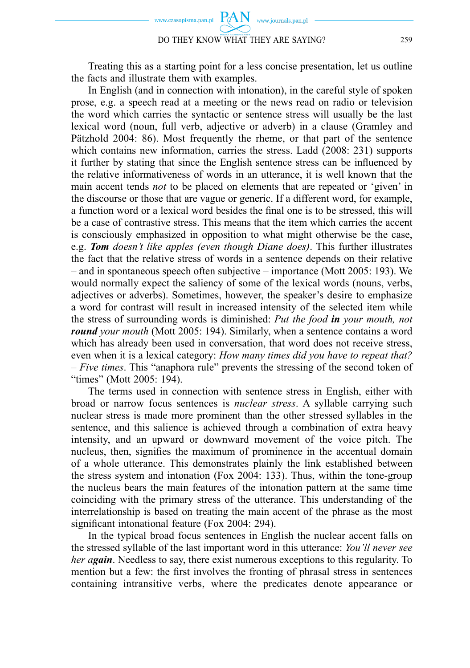Treating this as a starting point for a less concise presentation, let us outline the facts and illustrate them with examples.

In English (and in connection with intonation), in the careful style of spoken prose, e.g. a speech read at a meeting or the news read on radio or television the word which carries the syntactic or sentence stress will usually be the last lexical word (noun, full verb, adjective or adverb) in a clause (Gramley and Pätzhold 2004: 86). Most frequently the rheme, or that part of the sentence which contains new information, carries the stress. Ladd (2008: 231) supports it further by stating that since the English sentence stress can be influenced by the relative informativeness of words in an utterance, it is well known that the main accent tends *not* to be placed on elements that are repeated or 'given' in the discourse or those that are vague or generic. If a different word, for example, a function word or a lexical word besides the final one is to be stressed, this will be a case of contrastive stress. This means that the item which carries the accent is consciously emphasized in opposition to what might otherwise be the case, e.g. *Tom doesn't like apples (even though Diane does)*. This further illustrates the fact that the relative stress of words in a sentence depends on their relative – and in spontaneous speech often subjective – importance (Mott 2005: 193). We would normally expect the saliency of some of the lexical words (nouns, verbs, adjectives or adverbs). Sometimes, however, the speaker's desire to emphasize a word for contrast will result in increased intensity of the selected item while the stress of surrounding words is diminished: *Put the food in your mouth, not round your mouth* (Mott 2005: 194). Similarly, when a sentence contains a word which has already been used in conversation, that word does not receive stress, even when it is a lexical category: *How many times did you have to repeat that? – Five times*. This "anaphora rule" prevents the stressing of the second token of "times" (Mott 2005: 194).

The terms used in connection with sentence stress in English, either with broad or narrow focus sentences is *nuclear stress*. A syllable carrying such nuclear stress is made more prominent than the other stressed syllables in the sentence, and this salience is achieved through a combination of extra heavy intensity, and an upward or downward movement of the voice pitch. The nucleus, then, signifies the maximum of prominence in the accentual domain of a whole utterance. This demonstrates plainly the link established between the stress system and intonation (Fox 2004: 133). Thus, within the tone-group the nucleus bears the main features of the intonation pattern at the same time coinciding with the primary stress of the utterance. This understanding of the interrelationship is based on treating the main accent of the phrase as the most significant intonational feature (Fox 2004: 294).

In the typical broad focus sentences in English the nuclear accent falls on the stressed syllable of the last important word in this utterance: *You'll never see her again*. Needless to say, there exist numerous exceptions to this regularity. To mention but a few: the first involves the fronting of phrasal stress in sentences containing intransitive verbs, where the predicates denote appearance or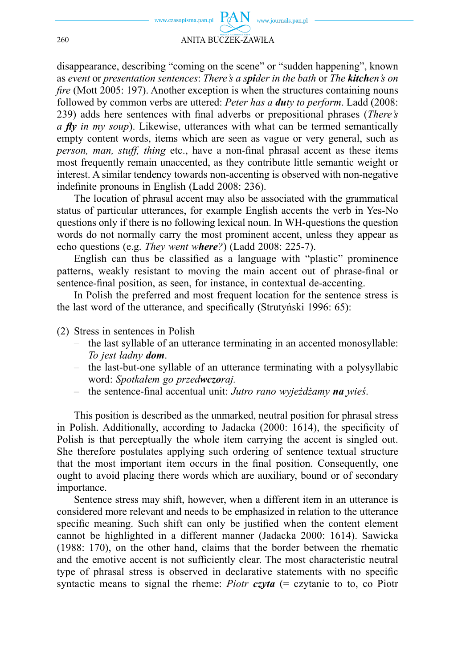

disappearance, describing "coming on the scene" or "sudden happening", known as *event* or *presentation sentences*: *There's a spider in the bath* or *The kitchen's on fire* (Mott 2005: 197). Another exception is when the structures containing nouns followed by common verbs are uttered: *Peter has a duty to perform*. Ladd (2008: 239) adds here sentences with final adverbs or prepositional phrases (*There's a fly in my soup*). Likewise, utterances with what can be termed semantically empty content words, items which are seen as vague or very general, such as *person, man, stuff, thing etc., have a non-final phrasal accent as these items* most frequently remain unaccented, as they contribute little semantic weight or interest. A similar tendency towards non-accenting is observed with non-negative indefinite pronouns in English (Ladd 2008: 236).

The location of phrasal accent may also be associated with the grammatical status of particular utterances, for example English accents the verb in Yes-No questions only if there is no following lexical noun. In WH-questions the question words do not normally carry the most prominent accent, unless they appear as echo questions (e.g. *They went where?*) (Ladd 2008: 225-7).

English can thus be classified as a language with "plastic" prominence patterns, weakly resistant to moving the main accent out of phrase-final or sentence-final position, as seen, for instance, in contextual de-accenting.

In Polish the preferred and most frequent location for the sentence stress is the last word of the utterance, and specifically (Strutyński 1996: 65):

- (2) Stress in sentences in Polish
	- the last syllable of an utterance terminating in an accented monosyllable: *To jest ładny dom*.
	- the last-but-one syllable of an utterance terminating with a polysyllabic word: *Spotkałem go przedwczoraj.*
	- the sentence-fi nal accentual unit: *Jutro rano wyjeżdżamy na ̮wieś*.

This position is described as the unmarked, neutral position for phrasal stress in Polish. Additionally, according to Jadacka (2000: 1614), the specificity of Polish is that perceptually the whole item carrying the accent is singled out. She therefore postulates applying such ordering of sentence textual structure that the most important item occurs in the final position. Consequently, one ought to avoid placing there words which are auxiliary, bound or of secondary importance.

Sentence stress may shift, however, when a different item in an utterance is considered more relevant and needs to be emphasized in relation to the utterance specific meaning. Such shift can only be justified when the content element cannot be highlighted in a different manner (Jadacka 2000: 1614). Sawicka (1988: 170), on the other hand, claims that the border between the rhematic and the emotive accent is not sufficiently clear. The most characteristic neutral type of phrasal stress is observed in declarative statements with no specific syntactic means to signal the rheme: *Piotr czyta* (= czytanie to to, co Piotr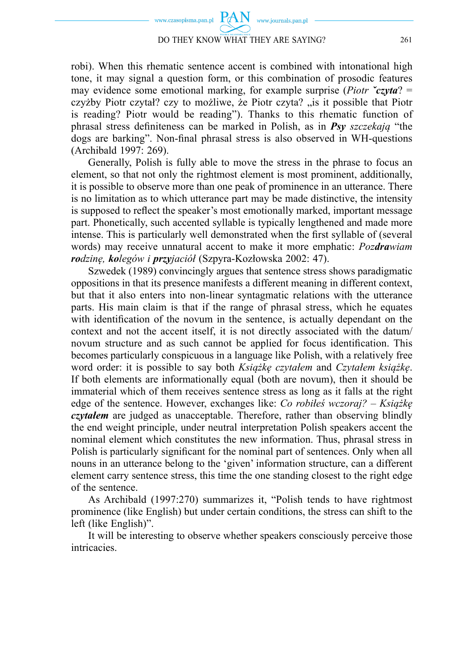robi). When this rhematic sentence accent is combined with intonational high tone, it may signal a question form, or this combination of prosodic features may evidence some emotional marking, for example surprise (*Piotr ˇczyta*? = czyżby Piotr czytał? czy to możliwe, że Piotr czyta? "is it possible that Piotr is reading? Piotr would be reading"). Thanks to this rhematic function of phrasal stress definiteness can be marked in Polish, as in *Psy szczekają* "the dogs are barking". Non-final phrasal stress is also observed in WH-questions (Archibald 1997: 269).

Generally, Polish is fully able to move the stress in the phrase to focus an element, so that not only the rightmost element is most prominent, additionally, it is possible to observe more than one peak of prominence in an utterance. There is no limitation as to which utterance part may be made distinctive, the intensity is supposed to reflect the speaker's most emotionally marked, important message part. Phonetically, such accented syllable is typically lengthened and made more intense. This is particularly well demonstrated when the first syllable of (several words) may receive unnatural accent to make it more emphatic: *Pozdrawiam rodzinę, kolegów i przyjaciół* (Szpyra-Kozłowska 2002: 47).

Szwedek (1989) convincingly argues that sentence stress shows paradigmatic oppositions in that its presence manifests a different meaning in different context, but that it also enters into non-linear syntagmatic relations with the utterance parts. His main claim is that if the range of phrasal stress, which he equates with identification of the novum in the sentence, is actually dependant on the context and not the accent itself, it is not directly associated with the datum/ novum structure and as such cannot be applied for focus identification. This becomes particularly conspicuous in a language like Polish, with a relatively free word order: it is possible to say both *Książkę czytałem* and *Czytałem książkę*. If both elements are informationally equal (both are novum), then it should be immaterial which of them receives sentence stress as long as it falls at the right edge of the sentence. However, exchanges like: *Co robiłeś wczoraj? – Książkę czytałem* are judged as unacceptable. Therefore, rather than observing blindly the end weight principle, under neutral interpretation Polish speakers accent the nominal element which constitutes the new information. Thus, phrasal stress in Polish is particularly significant for the nominal part of sentences. Only when all nouns in an utterance belong to the 'given' information structure, can a different element carry sentence stress, this time the one standing closest to the right edge of the sentence.

As Archibald (1997:270) summarizes it, "Polish tends to have rightmost prominence (like English) but under certain conditions, the stress can shift to the left (like English)".

It will be interesting to observe whether speakers consciously perceive those intricacies.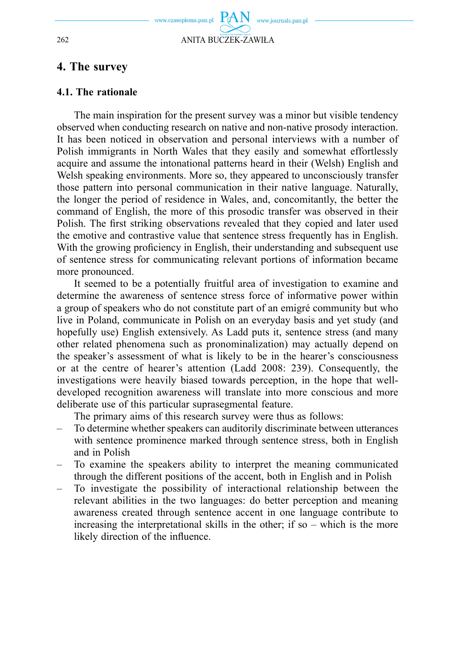## **4. The survey**

### **4.1. The rationale**

The main inspiration for the present survey was a minor but visible tendency observed when conducting research on native and non-native prosody interaction. It has been noticed in observation and personal interviews with a number of Polish immigrants in North Wales that they easily and somewhat effortlessly acquire and assume the intonational patterns heard in their (Welsh) English and Welsh speaking environments. More so, they appeared to unconsciously transfer those pattern into personal communication in their native language. Naturally, the longer the period of residence in Wales, and, concomitantly, the better the command of English, the more of this prosodic transfer was observed in their Polish. The first striking observations revealed that they copied and later used the emotive and contrastive value that sentence stress frequently has in English. With the growing proficiency in English, their understanding and subsequent use of sentence stress for communicating relevant portions of information became more pronounced.

It seemed to be a potentially fruitful area of investigation to examine and determine the awareness of sentence stress force of informative power within a group of speakers who do not constitute part of an emigré community but who live in Poland, communicate in Polish on an everyday basis and yet study (and hopefully use) English extensively. As Ladd puts it, sentence stress (and many other related phenomena such as pronominalization) may actually depend on the speaker's assessment of what is likely to be in the hearer's consciousness or at the centre of hearer's attention (Ladd 2008: 239). Consequently, the investigations were heavily biased towards perception, in the hope that welldeveloped recognition awareness will translate into more conscious and more deliberate use of this particular suprasegmental feature.

The primary aims of this research survey were thus as follows:

- To determine whether speakers can auditorily discriminate between utterances with sentence prominence marked through sentence stress, both in English and in Polish
- To examine the speakers ability to interpret the meaning communicated through the different positions of the accent, both in English and in Polish
- To investigate the possibility of interactional relationship between the relevant abilities in the two languages: do better perception and meaning awareness created through sentence accent in one language contribute to increasing the interpretational skills in the other; if so – which is the more likely direction of the influence.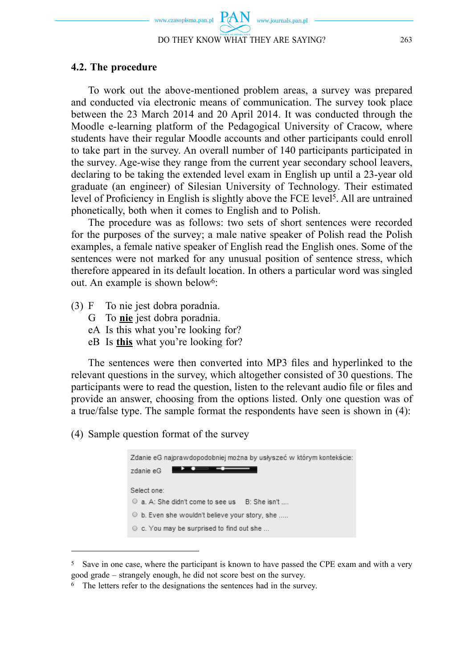www.journals.pan.pl www.czasopisma.pan.pl DO THEY KNOW WHAT THEY ARE SAYING? 263

#### **4.2. The procedure**

To work out the above-mentioned problem areas, a survey was prepared and conducted via electronic means of communication. The survey took place between the 23 March 2014 and 20 April 2014. It was conducted through the Moodle e-learning platform of the Pedagogical University of Cracow, where students have their regular Moodle accounts and other participants could enroll to take part in the survey. An overall number of 140 participants participated in the survey. Age-wise they range from the current year secondary school leavers, declaring to be taking the extended level exam in English up until a 23-year old graduate (an engineer) of Silesian University of Technology. Their estimated level of Proficiency in English is slightly above the FCE level<sup>5</sup>. All are untrained phonetically, both when it comes to English and to Polish.

The procedure was as follows: two sets of short sentences were recorded for the purposes of the survey; a male native speaker of Polish read the Polish examples, a female native speaker of English read the English ones. Some of the sentences were not marked for any unusual position of sentence stress, which therefore appeared in its default location. In others a particular word was singled out. An example is shown below6:

- (3) F To nie jest dobra poradnia.
	- G To **nie** jest dobra poradnia.
	- eA Is this what you're looking for?
	- eB Is **this** what you're looking for?

The sentences were then converted into MP3 files and hyperlinked to the relevant questions in the survey, which altogether consisted of 30 questions. The participants were to read the question, listen to the relevant audio file or files and provide an answer, choosing from the options listed. Only one question was of a true/false type. The sample format the respondents have seen is shown in (4):

(4) Sample question format of the survey



<sup>5</sup> Save in one case, where the participant is known to have passed the CPE exam and with a very good grade – strangely enough, he did not score best on the survey.

<sup>6</sup> The letters refer to the designations the sentences had in the survey.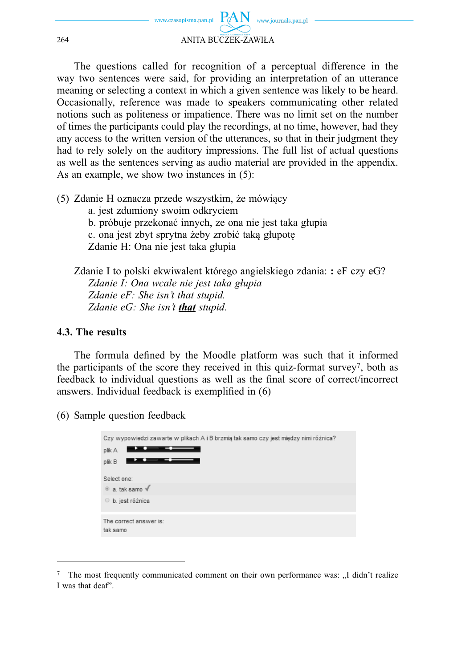

The questions called for recognition of a perceptual difference in the way two sentences were said, for providing an interpretation of an utterance meaning or selecting a context in which a given sentence was likely to be heard. Occasionally, reference was made to speakers communicating other related notions such as politeness or impatience. There was no limit set on the number of times the participants could play the recordings, at no time, however, had they any access to the written version of the utterances, so that in their judgment they had to rely solely on the auditory impressions. The full list of actual questions as well as the sentences serving as audio material are provided in the appendix. As an example, we show two instances in (5):

(5) Zdanie H oznacza przede wszystkim, że mówiący

a. jest zdumiony swoim odkryciem

 b. próbuje przekonać innych, ze ona nie jest taka głupia c. ona jest zbyt sprytna żeby zrobić taką głupotę Zdanie H: Ona nie jest taka głupia

 Zdanie I to polski ekwiwalent którego angielskiego zdania: **:** eF czy eG? *Zdanie I: Ona wcale nie jest taka głupia Zdanie eF: She isn't that stupid. Zdanie eG: She isn't that stupid.*

### **4.3. The results**

The formula defined by the Moodle platform was such that it informed the participants of the score they received in this quiz-format survey7, both as feedback to individual questions as well as the final score of correct/incorrect answers. Individual feedback is exemplified in  $(6)$ 

(6) Sample question feedback



<sup>7</sup> The most frequently communicated comment on their own performance was: "I didn't realize I was that deaf".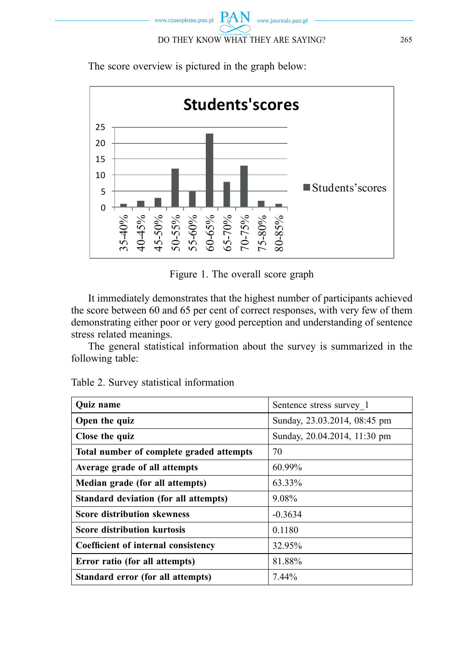The score overview is pictured in the graph below:



Figure 1. The overall score graph

It immediately demonstrates that the highest number of participants achieved the score between 60 and 65 per cent of correct responses, with very few of them demonstrating either poor or very good perception and understanding of sentence stress related meanings.

The general statistical information about the survey is summarized in the following table:

| <b>Ouiz</b> name                         | Sentence stress survey 1     |  |  |  |
|------------------------------------------|------------------------------|--|--|--|
| Open the quiz                            | Sunday, 23.03.2014, 08:45 pm |  |  |  |
| Close the quiz                           | Sunday, 20.04.2014, 11:30 pm |  |  |  |
| Total number of complete graded attempts | 70                           |  |  |  |
| Average grade of all attempts            | 60.99%                       |  |  |  |
| Median grade (for all attempts)          | 63.33%                       |  |  |  |
| Standard deviation (for all attempts)    | 9.08%                        |  |  |  |
| <b>Score distribution skewness</b>       | $-0.3634$                    |  |  |  |
| <b>Score distribution kurtosis</b>       | 0.1180                       |  |  |  |
| Coefficient of internal consistency      | 32.95%                       |  |  |  |
| Error ratio (for all attempts)           | 81.88%                       |  |  |  |
| Standard error (for all attempts)        | $7.44\%$                     |  |  |  |

Table 2. Survey statistical information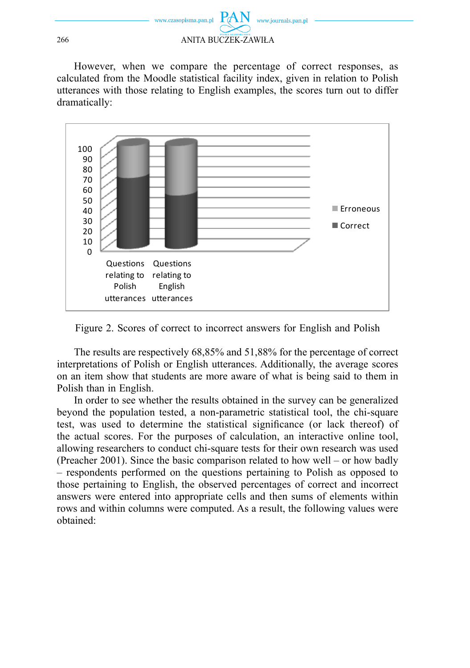

However, when we compare the percentage of correct responses, as calculated from the Moodle statistical facility index, given in relation to Polish utterances with those relating to English examples, the scores turn out to differ dramatically:



Figure 2. Scores of correct to incorrect answers for English and Polish

The results are respectively 68,85% and 51,88% for the percentage of correct interpretations of Polish or English utterances. Additionally, the average scores on an item show that students are more aware of what is being said to them in Polish than in English.

In order to see whether the results obtained in the survey can be generalized beyond the population tested, a non-parametric statistical tool, the chi-square test, was used to determine the statistical significance (or lack thereof) of the actual scores. For the purposes of calculation, an interactive online tool, allowing researchers to conduct chi-square tests for their own research was used (Preacher 2001). Since the basic comparison related to how well – or how badly – respondents performed on the questions pertaining to Polish as opposed to those pertaining to English, the observed percentages of correct and incorrect answers were entered into appropriate cells and then sums of elements within rows and within columns were computed. As a result, the following values were obtained: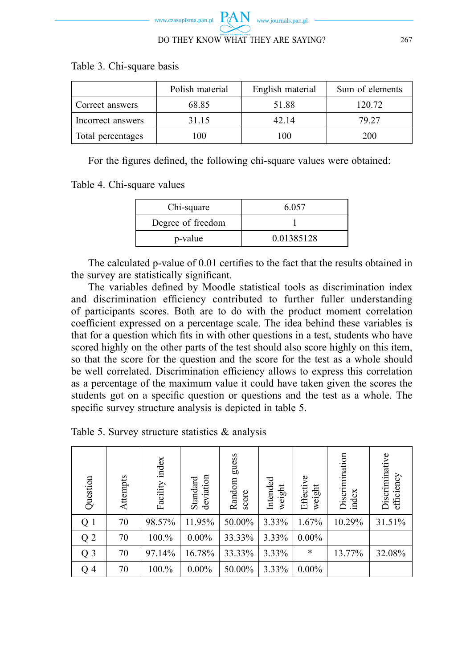|                   | Polish material | English material | Sum of elements |  |  |
|-------------------|-----------------|------------------|-----------------|--|--|
| Correct answers   | 68.85           | 51.88            | 120.72          |  |  |
| Incorrect answers | 31.15           | 42.14            | 79 27           |  |  |
| Total percentages | 100             | 100              | 200             |  |  |

Table 3. Chi-square basis

For the figures defined, the following chi-square values were obtained:

Table 4. Chi-square values

| Chi-square        | 6.057      |  |  |
|-------------------|------------|--|--|
| Degree of freedom |            |  |  |
| p-value           | 0.01385128 |  |  |

The calculated p-value of 0.01 certifies to the fact that the results obtained in the survey are statistically significant.

The variables defined by Moodle statistical tools as discrimination index and discrimination efficiency contributed to further fuller understanding of participants scores. Both are to do with the product moment correlation coefficient expressed on a percentage scale. The idea behind these variables is that for a question which fits in with other questions in a test, students who have scored highly on the other parts of the test should also score highly on this item, so that the score for the question and the score for the test as a whole should be well correlated. Discrimination efficiency allows to express this correlation as a percentage of the maximum value it could have taken given the scores the students got on a specific question or questions and the test as a whole. The specific survey structure analysis is depicted in table 5.

| Question       | Attempts | index<br>Facility | deviation<br>Standard | guess<br>Random<br>score | Intended<br>weight | Effective<br>weight | Discrimination<br>index | Discriminative<br>efficiency |
|----------------|----------|-------------------|-----------------------|--------------------------|--------------------|---------------------|-------------------------|------------------------------|
| Q 1            | 70       | 98.57%            | 11.95%                | 50.00%                   | 3.33%              | 1.67%               | 10.29%                  | 31.51%                       |
| $\mbox{Q}$ 2   | 70       | 100.%             | $0.00\%$              | 33.33%                   | 3.33%              | $0.00\%$            |                         |                              |
| $Q_3$          | 70       | 97.14%            | 16.78%                | 33.33%                   | 3.33%              | $\ast$              | 13.77%                  | 32.08%                       |
| Q <sub>4</sub> | 70       | 100.%             | $0.00\%$              | 50.00%                   | 3.33%              | $0.00\%$            |                         |                              |

Table 5. Survey structure statistics & analysis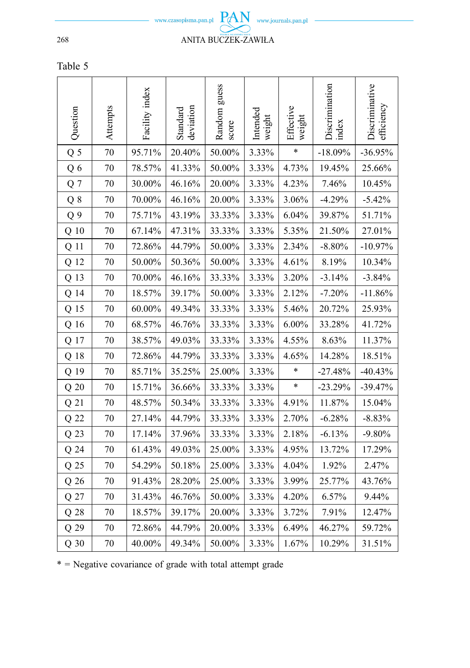

Table 5

| Question       | Attempts | Facility index | deviation<br>Standard | Random guess<br>score | Intended<br>weight | Effective<br>weight | Discrimination<br>index | Discriminative<br>efficiency |
|----------------|----------|----------------|-----------------------|-----------------------|--------------------|---------------------|-------------------------|------------------------------|
| Q <sub>5</sub> | 70       | 95.71%         | 20.40%                | 50.00%                | 3.33%              | $\ast$              | $-18.09%$               | $-36.95%$                    |
| Q6             | 70       | 78.57%         | 41.33%                | 50.00%                | 3.33%              | 4.73%               | 19.45%                  | 25.66%                       |
| $\mbox{Q}$ 7   | 70       | 30.00%         | 46.16%                | 20.00%                | 3.33%              | 4.23%               | 7.46%                   | 10.45%                       |
| Q8             | 70       | 70.00%         | 46.16%                | 20.00%                | 3.33%              | 3.06%               | $-4.29%$                | $-5.42%$                     |
| Q <sub>9</sub> | 70       | 75.71%         | 43.19%                | 33.33%                | 3.33%              | 6.04%               | 39.87%                  | 51.71%                       |
| Q10            | 70       | 67.14%         | 47.31%                | 33.33%                | 3.33%              | 5.35%               | 21.50%                  | 27.01%                       |
| Q 11           | 70       | 72.86%         | 44.79%                | 50.00%                | 3.33%              | 2.34%               | $-8.80%$                | $-10.97%$                    |
| Q 12           | 70       | 50.00%         | 50.36%                | 50.00%                | 3.33%              | 4.61%               | 8.19%                   | 10.34%                       |
| Q 13           | 70       | 70.00%         | 46.16%                | 33.33%                | 3.33%              | 3.20%               | $-3.14%$                | $-3.84%$                     |
| Q 14           | 70       | 18.57%         | 39.17%                | 50.00%                | 3.33%              | 2.12%               | $-7.20%$                | $-11.86%$                    |
| Q 15           | 70       | 60.00%         | 49.34%                | 33.33%                | 3.33%              | 5.46%               | 20.72%                  | 25.93%                       |
| 16<br>Q        | 70       | 68.57%         | 46.76%                | 33.33%                | 3.33%              | 6.00%               | 33.28%                  | 41.72%                       |
| Q 17           | 70       | 38.57%         | 49.03%                | 33.33%                | 3.33%              | 4.55%               | 8.63%                   | 11.37%                       |
| Q 18           | 70       | 72.86%         | 44.79%                | 33.33%                | 3.33%              | 4.65%               | 14.28%                  | 18.51%                       |
| Q 19           | 70       | 85.71%         | 35.25%                | 25.00%                | 3.33%              | *                   | $-27.48%$               | $-40.43%$                    |
| Q 20           | 70       | 15.71%         | 36.66%                | 33.33%                | 3.33%              | $\ast$              | $-23.29%$               | $-39.47%$                    |
| Q 21           | 70       | 48.57%         | 50.34%                | 33.33%                | 3.33%              | 4.91%               | 11.87%                  | 15.04%                       |
| Q 22           | 70       | 27.14%         | 44.79%                | 33.33%                | 3.33%              | 2.70%               | $-6.28%$                | $-8.83%$                     |
| Q 23           | 70       | 17.14%         | 37.96%                | 33.33%                | 3.33%              | 2.18%               | $-6.13%$                | $-9.80%$                     |
| Q 24           | 70       | 61.43%         | 49.03%                | 25.00%                | 3.33%              | 4.95%               | 13.72%                  | 17.29%                       |
| Q 25           | 70       | 54.29%         | 50.18%                | 25.00%                | 3.33%              | 4.04%               | 1.92%                   | 2.47%                        |
| Q 26           | 70       | 91.43%         | 28.20%                | 25.00%                | 3.33%              | 3.99%               | 25.77%                  | 43.76%                       |
| Q 27           | 70       | 31.43%         | 46.76%                | 50.00%                | 3.33%              | 4.20%               | 6.57%                   | 9.44%                        |
| Q 28           | 70       | 18.57%         | 39.17%                | 20.00%                | 3.33%              | 3.72%               | 7.91%                   | 12.47%                       |
| Q 29           | 70       | 72.86%         | 44.79%                | 20.00%                | 3.33%              | 6.49%               | 46.27%                  | 59.72%                       |
| $Q_30$         | 70       | 40.00%         | 49.34%                | 50.00%                | 3.33%              | 1.67%               | 10.29%                  | 31.51%                       |

\* = Negative covariance of grade with total attempt grade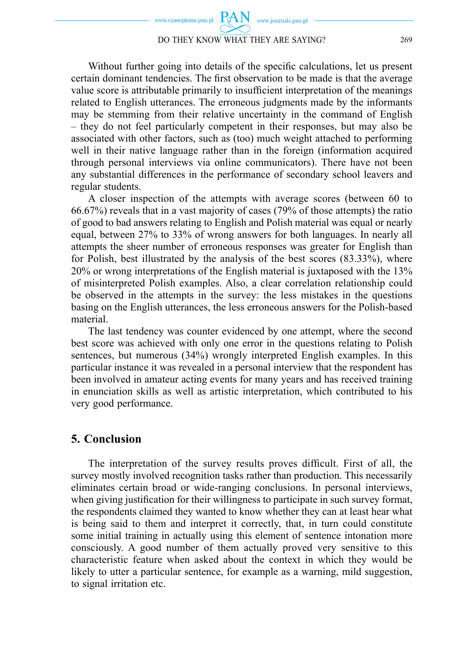Without further going into details of the specific calculations, let us present certain dominant tendencies. The first observation to be made is that the average value score is attributable primarily to insufficient interpretation of the meanings related to English utterances. The erroneous judgments made by the informants may be stemming from their relative uncertainty in the command of English – they do not feel particularly competent in their responses, but may also be associated with other factors, such as (too) much weight attached to performing well in their native language rather than in the foreign (information acquired through personal interviews via online communicators). There have not been any substantial differences in the performance of secondary school leavers and regular students.

A closer inspection of the attempts with average scores (between 60 to 66.67%) reveals that in a vast majority of cases (79% of those attempts) the ratio of good to bad answers relating to English and Polish material was equal or nearly equal, between 27% to 33% of wrong answers for both languages. In nearly all attempts the sheer number of erroneous responses was greater for English than for Polish, best illustrated by the analysis of the best scores (83.33%), where 20% or wrong interpretations of the English material is juxtaposed with the 13% of misinterpreted Polish examples. Also, a clear correlation relationship could be observed in the attempts in the survey: the less mistakes in the questions basing on the English utterances, the less erroneous answers for the Polish-based material.

The last tendency was counter evidenced by one attempt, where the second best score was achieved with only one error in the questions relating to Polish sentences, but numerous (34%) wrongly interpreted English examples. In this particular instance it was revealed in a personal interview that the respondent has been involved in amateur acting events for many years and has received training in enunciation skills as well as artistic interpretation, which contributed to his very good performance.

### **5. Conclusion**

The interpretation of the survey results proves difficult. First of all, the survey mostly involved recognition tasks rather than production. This necessarily eliminates certain broad or wide-ranging conclusions. In personal interviews, when giving justification for their willingness to participate in such survey format, the respondents claimed they wanted to know whether they can at least hear what is being said to them and interpret it correctly, that, in turn could constitute some initial training in actually using this element of sentence intonation more consciously. A good number of them actually proved very sensitive to this characteristic feature when asked about the context in which they would be likely to utter a particular sentence, for example as a warning, mild suggestion, to signal irritation etc.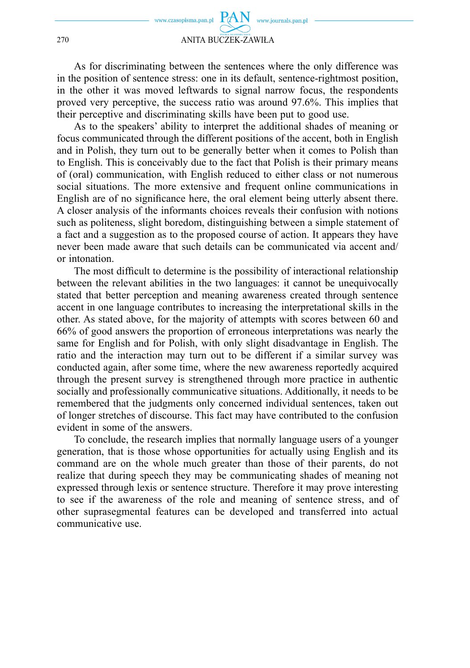As for discriminating between the sentences where the only difference was in the position of sentence stress: one in its default, sentence-rightmost position, in the other it was moved leftwards to signal narrow focus, the respondents proved very perceptive, the success ratio was around 97.6%. This implies that their perceptive and discriminating skills have been put to good use.

As to the speakers' ability to interpret the additional shades of meaning or focus communicated through the different positions of the accent, both in English and in Polish, they turn out to be generally better when it comes to Polish than to English. This is conceivably due to the fact that Polish is their primary means of (oral) communication, with English reduced to either class or not numerous social situations. The more extensive and frequent online communications in English are of no significance here, the oral element being utterly absent there. A closer analysis of the informants choices reveals their confusion with notions such as politeness, slight boredom, distinguishing between a simple statement of a fact and a suggestion as to the proposed course of action. It appears they have never been made aware that such details can be communicated via accent and/ or intonation.

The most difficult to determine is the possibility of interactional relationship between the relevant abilities in the two languages: it cannot be unequivocally stated that better perception and meaning awareness created through sentence accent in one language contributes to increasing the interpretational skills in the other. As stated above, for the majority of attempts with scores between 60 and 66% of good answers the proportion of erroneous interpretations was nearly the same for English and for Polish, with only slight disadvantage in English. The ratio and the interaction may turn out to be different if a similar survey was conducted again, after some time, where the new awareness reportedly acquired through the present survey is strengthened through more practice in authentic socially and professionally communicative situations. Additionally, it needs to be remembered that the judgments only concerned individual sentences, taken out of longer stretches of discourse. This fact may have contributed to the confusion evident in some of the answers.

To conclude, the research implies that normally language users of a younger generation, that is those whose opportunities for actually using English and its command are on the whole much greater than those of their parents, do not realize that during speech they may be communicating shades of meaning not expressed through lexis or sentence structure. Therefore it may prove interesting to see if the awareness of the role and meaning of sentence stress, and of other suprasegmental features can be developed and transferred into actual communicative use.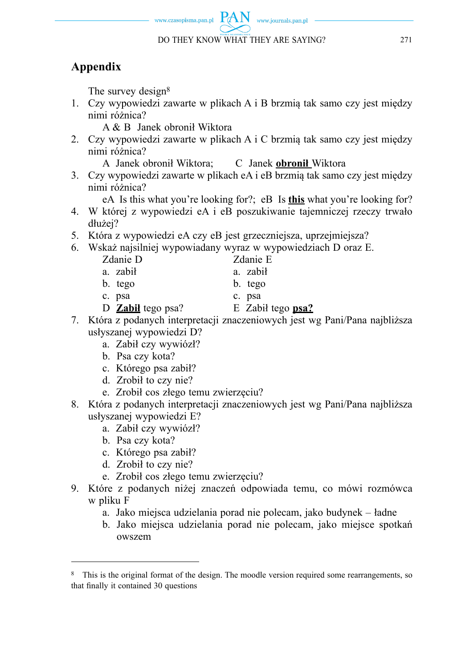www.czasopisma.pan.pl **PAN** www.journals.pan.pl DO THEY KNOW WHAT THEY ARE SAYING? 271

# **Appendix**

The survey design<sup>8</sup>

1. Czy wypowiedzi zawarte w plikach A i B brzmią tak samo czy jest między nimi różnica?

A & B Janek obronił Wiktora

- 2. Czy wypowiedzi zawarte w plikach A i C brzmią tak samo czy jest między nimi różnica?
	- A Janek obronił Wiktora; C Janek **obronił** Wiktora
- 3. Czy wypowiedzi zawarte w plikach eA i eB brzmią tak samo czy jest między nimi różnica?

eA Is this what you're looking for?; eB Is **this** what you're looking for?

- 4. W której z wypowiedzi eA i eB poszukiwanie tajemniczej rzeczy trwało dłużej?
- 5. Która z wypowiedzi eA czy eB jest grzeczniejsza, uprzejmiejsza?
- 6. Wskaż najsilniej wypowiadany wyraz w wypowiedziach D oraz E.
	- Zdanie D Zdanie E
	- a. zabił a. zabił
	- b. tego b. tego
	- c. psa<br>
	D **Zabil** tego psa?<br>
	E Zabil tego psa?
	- D **Zabił** tego psa?
- 7. Która z podanych interpretacji znaczeniowych jest wg Pani/Pana najbliższa usłyszanej wypowiedzi D?
	- a. Zabił czy wywiózł?
	- b. Psa czy kota?
	- c. Którego psa zabił?
	- d. Zrobił to czy nie?
	- e. Zrobił cos złego temu zwierzęciu?
- 8. Która z podanych interpretacji znaczeniowych jest wg Pani/Pana najbliższa usłyszanej wypowiedzi E?
	- a. Zabił czy wywiózł?
	- b. Psa czy kota?
	- c. Którego psa zabił?
	- d. Zrobił to czy nie?
	- e. Zrobił cos złego temu zwierzęciu?
- 9. Które z podanych niżej znaczeń odpowiada temu, co mówi rozmówca w pliku F
	- a. Jako miejsca udzielania porad nie polecam, jako budynek ładne
	- b. Jako miejsca udzielania porad nie polecam, jako miejsce spotkań owszem

<sup>8</sup> This is the original format of the design. The moodle version required some rearrangements, so that finally it contained 30 questions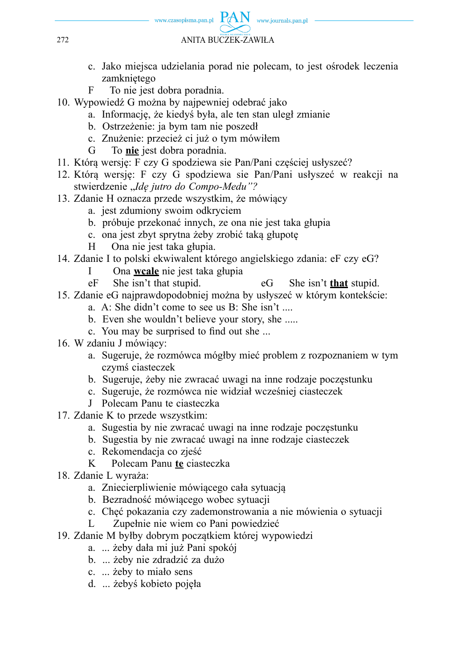

- c. Jako miejsca udzielania porad nie polecam, to jest ośrodek leczenia zamkniętego
- F To nie jest dobra poradnia.
- 10. Wypowiedź G można by najpewniej odebrać jako
	- a. Informację, że kiedyś była, ale ten stan uległ zmianie
	- b. Ostrzeżenie: ja bym tam nie poszedł
	- c. Znużenie: przecież ci już o tym mówiłem
	- G To **nie** jest dobra poradnia.
- 11. Którą wersję: F czy G spodziewa sie Pan/Pani częściej usłyszeć?
- 12. Którą wersję: F czy G spodziewa sie Pan/Pani usłyszeć w reakcji na stwierdzenie "*Idę jutro do Compo-Medu"?*
- 13. Zdanie H oznacza przede wszystkim, że mówiący
	- a. jest zdumiony swoim odkryciem
	- b. próbuje przekonać innych, ze ona nie jest taka głupia
	- c. ona jest zbyt sprytna żeby zrobić taką głupotę
	- H Ona nie jest taka głupia.
- 14. Zdanie I to polski ekwiwalent którego angielskiego zdania: eF czy eG?
	- I Ona **wcale** nie jest taka głupia
	- eF She isn't that stupid. eG She isn't **that** stupid.
- 15. Zdanie eG najprawdopodobniej można by usłyszeć w którym kontekście:
	- a. A: She didn't come to see us B: She isn't ....
	- b. Even she wouldn't believe your story, she .....
	- c. You may be surprised to find out she ...
- 16. W zdaniu J mówiący:
	- a. Sugeruje, że rozmówca mógłby mieć problem z rozpoznaniem w tym czymś ciasteczek
	- b. Sugeruje, żeby nie zwracać uwagi na inne rodzaje poczęstunku
	- c. Sugeruje, że rozmówca nie widział wcześniej ciasteczek
	- J Polecam Panu te ciasteczka
- 17. Zdanie K to przede wszystkim:
	- a. Sugestia by nie zwracać uwagi na inne rodzaje poczęstunku
	- b. Sugestia by nie zwracać uwagi na inne rodzaje ciasteczek
	- c. Rekomendacja co zjeść
	- K Polecam Panu **te** ciasteczka
- 18. Zdanie L wyraża:
	- a. Zniecierpliwienie mówiącego cała sytuacją
	- b. Bezradność mówiącego wobec sytuacji
	- c. Chęć pokazania czy zademonstrowania a nie mówienia o sytuacji
	- L Zupełnie nie wiem co Pani powiedzieć
- 19. Zdanie M byłby dobrym początkiem której wypowiedzi
	- a. ... żeby dała mi już Pani spokój
	- b. ... żeby nie zdradzić za dużo
	- c. ... żeby to miało sens
	- d. ... żebyś kobieto pojęła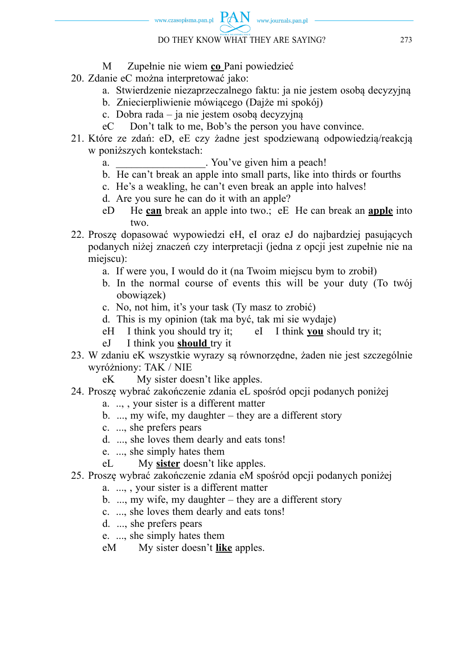- M Zupełnie nie wiem **co** Pani powiedzieć
- 20. Zdanie eC można interpretować jako:
	- a. Stwierdzenie niezaprzeczalnego faktu: ja nie jestem osobą decyzyjną
	- b. Zniecierpliwienie mówiącego (Dajże mi spokój)
	- c. Dobra rada ja nie jestem osobą decyzyjną
	- eC Don't talk to me, Bob's the person you have convince.
- 21. Które ze zdań: eD, eE czy żadne jest spodziewaną odpowiedzią/reakcją w poniższych kontekstach:
	- a.  $You've given him a reach!$
	- b. He can't break an apple into small parts, like into thirds or fourths
	- c. He's a weakling, he can't even break an apple into halves!
	- d. Are you sure he can do it with an apple?
	- eD He **can** break an apple into two.; eE He can break an **apple** into two.
- 22. Proszę dopasować wypowiedzi eH, eI oraz eJ do najbardziej pasujących podanych niżej znaczeń czy interpretacji (jedna z opcji jest zupełnie nie na miejscu):
	- a. If were you, I would do it (na Twoim miejscu bym to zrobił)
	- b. In the normal course of events this will be your duty (To twój obowiązek)
	- c. No, not him, it's your task (Ty masz to zrobić)
	- d. This is my opinion (tak ma być, tak mi sie wydaje)
	- eH I think you should try it; eI I think you should try it;
	- eJ I think you **should** try it
- 23. W zdaniu eK wszystkie wyrazy są równorzędne, żaden nie jest szczególnie wyróżniony: TAK / NIE
	- eK My sister doesn't like apples.
- 24. Proszę wybrać zakończenie zdania eL spośród opcji podanych poniżej
	- a. .., , your sister is a different matter
	- b. ..., my wife, my daughter they are a different story
	- c. ..., she prefers pears
	- d. ..., she loves them dearly and eats tons!
	- e. ..., she simply hates them
	- eL My **sister** doesn't like apples.
- 25. Proszę wybrać zakończenie zdania eM spośród opcji podanych poniżej
	- a. ..., , your sister is a different matter
	- b. ..., my wife, my daughter they are a different story
	- c. ..., she loves them dearly and eats tons!
	- d. ..., she prefers pears
	- e. ..., she simply hates them
	- eM My sister doesn't **like** apples.